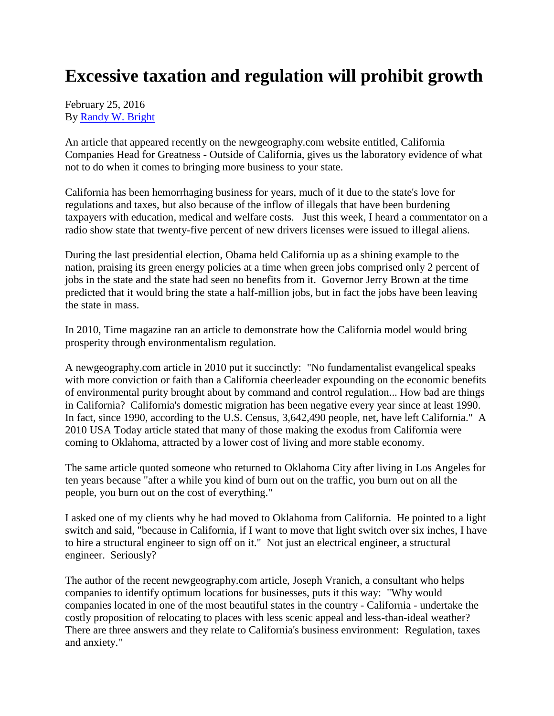## **Excessive taxation and regulation will prohibit growth**

February 25, 2016 By [Randy W. Bright](http://www.tulsabeacon.com/author/slug-o6yd1v)

An article that appeared recently on the newgeography.com website entitled, California Companies Head for Greatness - Outside of California, gives us the laboratory evidence of what not to do when it comes to bringing more business to your state.

California has been hemorrhaging business for years, much of it due to the state's love for regulations and taxes, but also because of the inflow of illegals that have been burdening taxpayers with education, medical and welfare costs. Just this week, I heard a commentator on a radio show state that twenty-five percent of new drivers licenses were issued to illegal aliens.

During the last presidential election, Obama held California up as a shining example to the nation, praising its green energy policies at a time when green jobs comprised only 2 percent of jobs in the state and the state had seen no benefits from it. Governor Jerry Brown at the time predicted that it would bring the state a half-million jobs, but in fact the jobs have been leaving the state in mass.

In 2010, Time magazine ran an article to demonstrate how the California model would bring prosperity through environmentalism regulation.

A newgeography.com article in 2010 put it succinctly: "No fundamentalist evangelical speaks with more conviction or faith than a California cheerleader expounding on the economic benefits of environmental purity brought about by command and control regulation... How bad are things in California? California's domestic migration has been negative every year since at least 1990. In fact, since 1990, according to the U.S. Census, 3,642,490 people, net, have left California." A 2010 USA Today article stated that many of those making the exodus from California were coming to Oklahoma, attracted by a lower cost of living and more stable economy.

The same article quoted someone who returned to Oklahoma City after living in Los Angeles for ten years because "after a while you kind of burn out on the traffic, you burn out on all the people, you burn out on the cost of everything."

I asked one of my clients why he had moved to Oklahoma from California. He pointed to a light switch and said, "because in California, if I want to move that light switch over six inches, I have to hire a structural engineer to sign off on it." Not just an electrical engineer, a structural engineer. Seriously?

The author of the recent newgeography.com article, Joseph Vranich, a consultant who helps companies to identify optimum locations for businesses, puts it this way: "Why would companies located in one of the most beautiful states in the country - California - undertake the costly proposition of relocating to places with less scenic appeal and less-than-ideal weather? There are three answers and they relate to California's business environment: Regulation, taxes and anxiety."